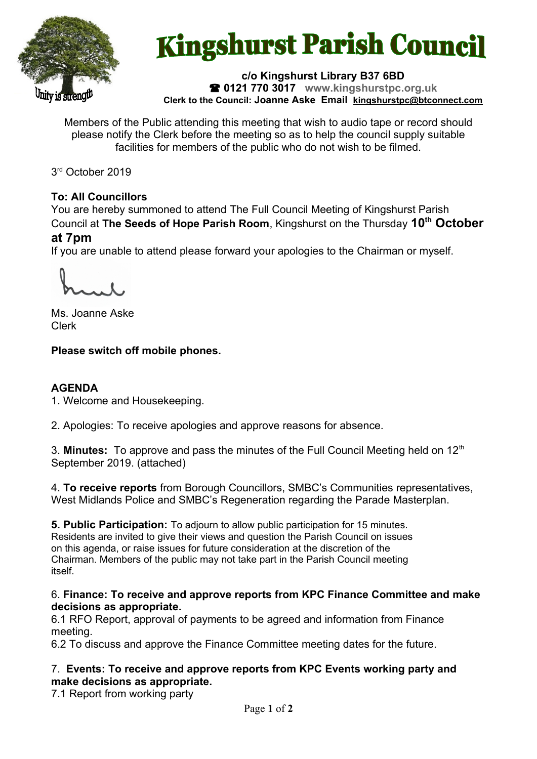

# **Kingshurst Parish Council**

#### **c/o Kingshurst Library B37 6BD 0121 770 3017 www.kingshurstpc.org.uk Clerk to the Council: Joanne Aske Email [kingshurstpc@btconnect.com](mailto:kingshurstpc@btconnect.com)**

Members of the Public attending this meeting that wish to audio tape or record should please notify the Clerk before the meeting so as to help the council supply suitable facilities for members of the public who do not wish to be filmed.

3 rd October 2019

# **To: All Councillors**

You are hereby summoned to attend The Full Council Meeting of Kingshurst Parish Council at **The Seeds of Hope Parish Room**, Kingshurst on the Thursday **10th October at 7pm**

If you are unable to attend please forward your apologies to the Chairman or myself.

Ms. Joanne Aske Clerk

# **Please switch off mobile phones.**

### **AGENDA**

1. Welcome and Housekeeping.

2. Apologies: To receive apologies and approve reasons for absence.

3. **Minutes:** To approve and pass the minutes of the Full Council Meeting held on 12<sup>th</sup> September 2019. (attached)

4. **To receive reports** from Borough Councillors, SMBC's Communities representatives, West Midlands Police and SMBC's Regeneration regarding the Parade Masterplan.

**5. Public Participation:** To adjourn to allow public participation for 15 minutes. Residents are invited to give their views and question the Parish Council on issues on this agenda, or raise issues for future consideration at the discretion of the Chairman. Members of the public may not take part in the Parish Council meeting itself.

6. **Finance: To receive and approve reports from KPC Finance Committee and make decisions as appropriate.**

6.1 RFO Report, approval of payments to be agreed and information from Finance meeting.

6.2 To discuss and approve the Finance Committee meeting dates for the future.

7. **Events: To receive and approve reports from KPC Events working party and make decisions as appropriate.**

7.1 Report from working party